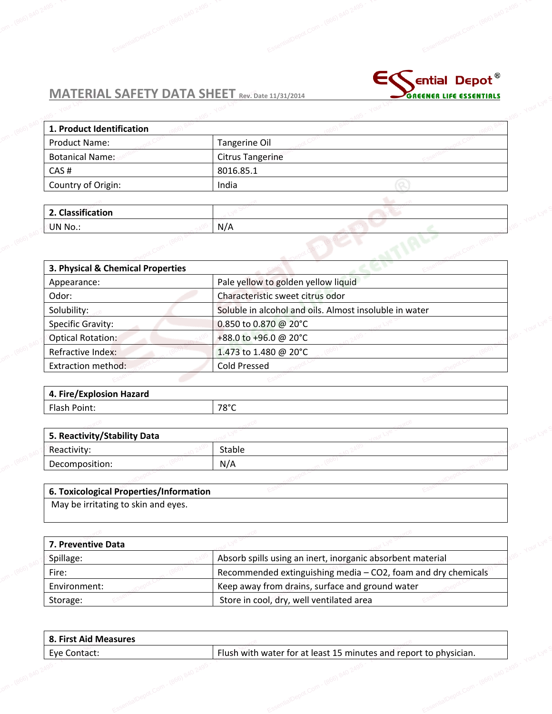

|                                   | MATERIAL SAFETY DATA SHEET Rev. Bate 11/31/2014 |  | GREENER LIFE ESSENTIALS |
|-----------------------------------|-------------------------------------------------|--|-------------------------|
|                                   |                                                 |  |                         |
| 1. Product Identification         |                                                 |  |                         |
| <b>Product Name:</b>              | Tangerine Oil                                   |  |                         |
| <b>Botanical Name:</b>            | <b>Citrus Tangerine</b>                         |  |                         |
| CAS#                              | 8016.85.1                                       |  |                         |
| Country of Origin:                | India                                           |  |                         |
|                                   |                                                 |  |                         |
| 2. Classification                 |                                                 |  |                         |
| UN No.:                           | N/A                                             |  |                         |
|                                   |                                                 |  |                         |
| 3. Physical & Chemical Properties |                                                 |  |                         |

| Appearance:               | Pale yellow to golden yellow liquid                    |  |
|---------------------------|--------------------------------------------------------|--|
| Odor:                     | Characteristic sweet citrus odor                       |  |
| Solubility:               | Soluble in alcohol and oils. Almost insoluble in water |  |
| Specific Gravity:         | 0.850 to 0.870 @ 20°C                                  |  |
| <b>Optical Rotation:</b>  | +88.0 to +96.0 @ 20°C                                  |  |
| Refractive Index:         | 1.473 to 1.480 @ 20°C                                  |  |
| <b>Extraction method:</b> | <b>Cold Pressed</b>                                    |  |
|                           |                                                        |  |

| 4. Fire/Explosion Hazard |                |  |
|--------------------------|----------------|--|
| Flash Point:             | $78^{\circ}$ C |  |
|                          |                |  |

| 5. Reactivity/Stability Data           |        |  |  |
|----------------------------------------|--------|--|--|
| Reactivity:                            | Stable |  |  |
| Decomposition:                         | N/A    |  |  |
|                                        |        |  |  |
| 6 Tovicological Properties/Information |        |  |  |

## **6. Toxicological Properties/Information**

May be irritating to skin and eyes.

| 7. Preventive Data |                                                                 |  |
|--------------------|-----------------------------------------------------------------|--|
| Spillage:          | Absorb spills using an inert, inorganic absorbent material      |  |
| Fire:              | Recommended extinguishing media $-$ CO2, foam and dry chemicals |  |
| Environment:       | Keep away from drains, surface and ground water                 |  |
| Storage:           | Store in cool, dry, well ventilated area                        |  |

| 8. First Aid Measures |                                                                   |  |
|-----------------------|-------------------------------------------------------------------|--|
| Eye Contact:          | Flush with water for at least 15 minutes and report to physician. |  |
|                       |                                                                   |  |
|                       |                                                                   |  |
|                       |                                                                   |  |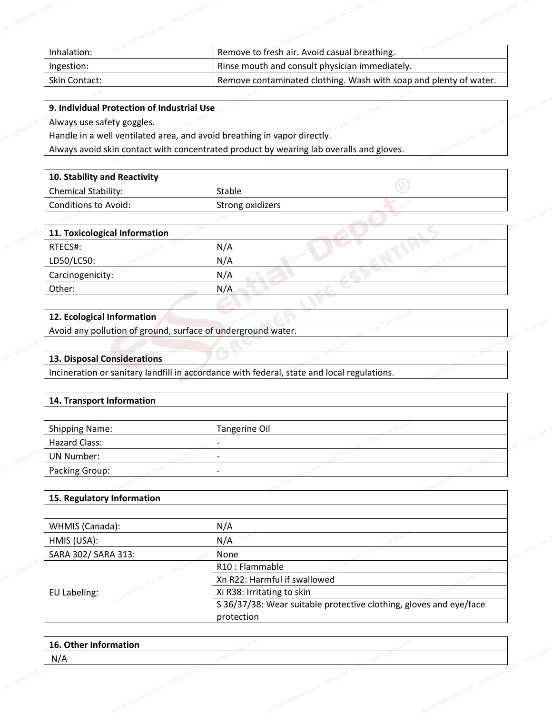| Inhalation:   | Remove to fresh air. Avoid casual breathing.                      |  |
|---------------|-------------------------------------------------------------------|--|
| Ingestion:    | Rinse mouth and consult physician immediately.                    |  |
| Skin Contact: | Remove contaminated clothing. Wash with soap and plenty of water. |  |

EssemilalDepot.Com - (866) 840 - 495 - Your Lye S

EssentialDepot.Com - (866) 840 2495 - Your Lye C

# **9. Individual Protection of Industrial Use** Experience of the Company of Company of Company of Company of Company of Company of Company and Always avoid

Always use safety goggles.

Handle in a well ventilated area, and avoid breathing in vapor directly. **otection of Industrial Use COM COM COM 2495**<br>ty goggles.<br>I ventilated area, and avoid breathing<br>in contact with concentrated produc

Always avoid skin contact with concentrated product by wearing lab overalls and gloves.  $\frac{1}{2}$  and  $\frac{1}{2}$  and  $\frac{1}{2}$  and  $\frac{1}{2}$  and  $\frac{1}{2}$  and  $\frac{1}{2}$  and  $\frac{1}{2}$  and  $\frac{1}{2}$  and  $\frac{1}{2}$  and  $\frac{1}{2}$  and  $\frac{1}{2}$  and  $\frac{1}{2}$  and  $\frac{1}{2}$  and  $\frac{1}{2}$  and  $\frac{1}{2}$  and  $\frac{1}{2}$  a

| 10. Stability and Reactivity |                  |  |
|------------------------------|------------------|--|
| Chemical Stability:          | Stable           |  |
| Conditions to Avoid:         | Strong oxidizers |  |
|                              |                  |  |

| Conditions to Avoid:          | Strong oxidizers |  |
|-------------------------------|------------------|--|
|                               |                  |  |
| 11. Toxicological Information |                  |  |
| RTECS#:                       | N/A              |  |
| LD50/LC50:                    | N/A              |  |
| Carcinogenicity:              | N/A              |  |
| Other:                        | N/A              |  |

### **12. Ecological Information**

Avoid any pollution of ground, surface of underground water. Esperimential<br>Essentian of ground, surface of underground<br>Standard Source Source Source Source Source Source Source Source Source Source<br>Standard Source Source Source Source Source Source Source Source Source Source Source

# **13. Disposal Considerations Explorate 12. Ecological**<br>Depote the source of the source of the source of the source of the source of the source of the source of the source of the source of the source of the source of the source of the source of the so

Avoid any pollution of ground, surface of underground water.<br> **13. Disposal Considerations**<br>
Incineration or sanitary landfill in accordance with federal, state and local regulations.

### **14. Transport Information**

| <b>Shipping Name:</b> | Tangerine Oil |  |  |
|-----------------------|---------------|--|--|
| <b>Hazard Class:</b>  |               |  |  |
| <b>UN Number:</b>     |               |  |  |
| Packing Group:        |               |  |  |
|                       |               |  |  |

### **15. Regulatory Information**

| WHMIS (Canada):     | N/A                                                                |
|---------------------|--------------------------------------------------------------------|
| HMIS (USA):         | N/A                                                                |
| SARA 302/ SARA 313: | None                                                               |
|                     | R10: Flammable                                                     |
|                     | Xn R22: Harmful if swallowed                                       |
| EU Labeling:        | Xi R38: Irritating to skin                                         |
|                     | S 36/37/38: Wear suitable protective clothing, gloves and eye/face |
|                     | protection                                                         |

| 16. Other Information |  |  |
|-----------------------|--|--|
| N/A                   |  |  |
|                       |  |  |
|                       |  |  |
|                       |  |  |